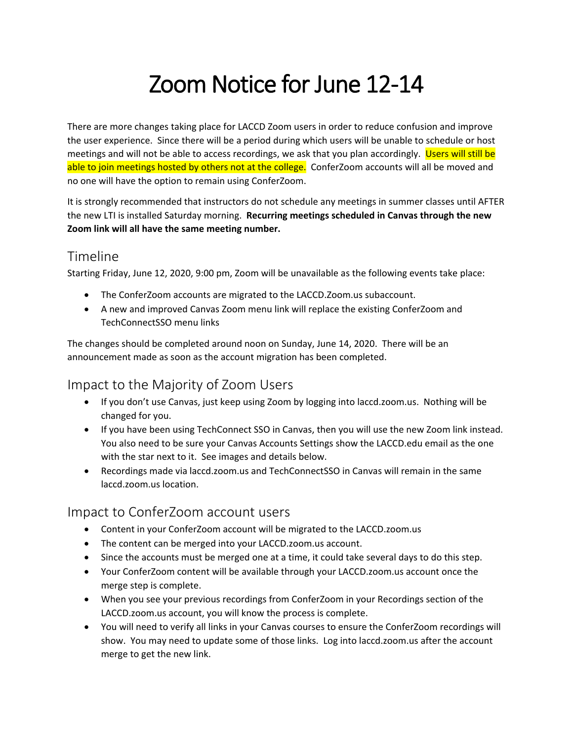# Zoom Notice for June 12-14

There are more changes taking place for LACCD Zoom users in order to reduce confusion and improve the user experience. Since there will be a period during which users will be unable to schedule or host meetings and will not be able to access recordings, we ask that you plan accordingly. Users will still be able to join meetings hosted by others not at the college. ConferZoom accounts will all be moved and no one will have the option to remain using ConferZoom.

It is strongly recommended that instructors do not schedule any meetings in summer classes until AFTER the new LTI is installed Saturday morning. **Recurring meetings scheduled in Canvas through the new Zoom link will all have the same meeting number.**

#### Timeline

Starting Friday, June 12, 2020, 9:00 pm, Zoom will be unavailable as the following events take place:

- The ConferZoom accounts are migrated to the LACCD.Zoom.us subaccount.
- A new and improved Canvas Zoom menu link will replace the existing ConferZoom and TechConnectSSO menu links

The changes should be completed around noon on Sunday, June 14, 2020. There will be an announcement made as soon as the account migration has been completed.

#### Impact to the Majority of Zoom Users

- If you don't use Canvas, just keep using Zoom by logging into laccd.zoom.us. Nothing will be changed for you.
- If you have been using TechConnect SSO in Canvas, then you will use the new Zoom link instead. You also need to be sure your Canvas Accounts Settings show the LACCD.edu email as the one with the star next to it. See images and details below.
- Recordings made via laccd.zoom.us and TechConnectSSO in Canvas will remain in the same laccd.zoom.us location.

#### Impact to ConferZoom account users

- Content in your ConferZoom account will be migrated to the LACCD.zoom.us
- The content can be merged into your LACCD.zoom.us account.
- Since the accounts must be merged one at a time, it could take several days to do this step.
- Your ConferZoom content will be available through your LACCD.zoom.us account once the merge step is complete.
- When you see your previous recordings from ConferZoom in your Recordings section of the LACCD.zoom.us account, you will know the process is complete.
- You will need to verify all links in your Canvas courses to ensure the ConferZoom recordings will show. You may need to update some of those links. Log into laccd.zoom.us after the account merge to get the new link.